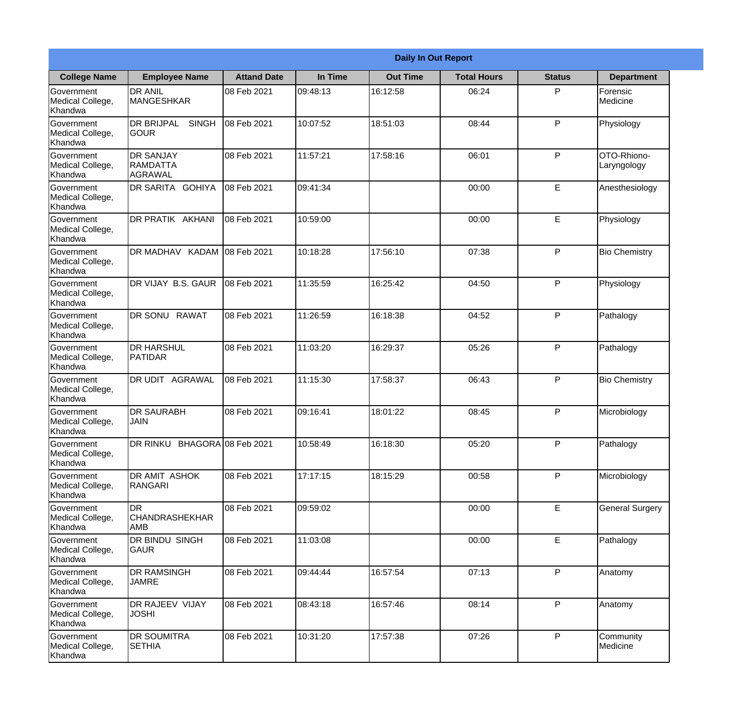|                                                  |                                                    |                    |          | <b>Daily In Out Report</b> |                    |               |                            |
|--------------------------------------------------|----------------------------------------------------|--------------------|----------|----------------------------|--------------------|---------------|----------------------------|
| <b>College Name</b>                              | <b>Employee Name</b>                               | <b>Attand Date</b> | In Time  | <b>Out Time</b>            | <b>Total Hours</b> | <b>Status</b> | <b>Department</b>          |
| Government<br>Medical College,<br>Khandwa        | <b>DR ANIL</b><br><b>MANGESHKAR</b>                | 08 Feb 2021        | 09:48:13 | 16:12:58                   | 06:24              | P             | Forensic<br>Medicine       |
| Government<br>Medical College,<br>Khandwa        | <b>DR BRIJPAL</b><br><b>SINGH</b><br> GOUR         | 08 Feb 2021        | 10:07:52 | 18:51:03                   | 08:44              | P             | Physiology                 |
| <b>Government</b><br>Medical College,<br>Khandwa | <b>DR SANJAY</b><br><b>RAMDATTA</b><br>AGRAWAL     | 08 Feb 2021        | 11:57:21 | 17:58:16                   | 06:01              | P             | OTO-Rhiono-<br>Laryngology |
| <b>Government</b><br>Medical College,<br>Khandwa | <b>DR SARITA GOHIYA</b>                            | 08 Feb 2021        | 09:41:34 |                            | 00:00              | E             | Anesthesiology             |
| Government<br>Medical College,<br>Khandwa        | <b>DR PRATIK AKHANI</b>                            | 08 Feb 2021        | 10:59:00 |                            | 00:00              | E             | Physiology                 |
| Government<br>Medical College,<br>Khandwa        | DR MADHAV KADAM                                    | 08 Feb 2021        | 10:18:28 | 17:56:10                   | 07:38              | P             | <b>Bio Chemistry</b>       |
| <b>Government</b><br>Medical College,<br>Khandwa | DR VIJAY B.S. GAUR                                 | 08 Feb 2021        | 11:35:59 | 16:25:42                   | 04:50              | P             | Physiology                 |
| <b>Government</b><br>Medical College,<br>Khandwa | DR SONU RAWAT                                      | 08 Feb 2021        | 11:26:59 | 16:18:38                   | 04:52              | P             | Pathalogy                  |
| Government<br>Medical College,<br>Khandwa        | <b>DR HARSHUL</b><br><b>PATIDAR</b>                | 08 Feb 2021        | 11:03:20 | 16:29:37                   | 05:26              | P             | Pathalogy                  |
| Government<br>Medical College,<br>Khandwa        | <b>DR UDIT AGRAWAL</b>                             | 08 Feb 2021        | 11:15:30 | 17:58:37                   | 06:43              | P             | <b>Bio Chemistry</b>       |
| Government<br>Medical College,<br>Khandwa        | IDR SAURABH<br><b>JAIN</b>                         | 08 Feb 2021        | 09:16:41 | 18:01:22                   | 08:45              | P             | Microbiology               |
| Government<br>Medical College,<br>Khandwa        | DR RINKU BHAGORA 08 Feb 2021                       |                    | 10:58:49 | 16:18:30                   | 05:20              | P             | Pathalogy                  |
| Government<br>Medical College,<br>Khandwa        | DR AMIT ASHOK<br><b>RANGARI</b>                    | 08 Feb 2021        | 17:17:15 | 18:15:29                   | 00:58              | P             | Microbiology               |
| Government<br>Medical College,<br>Khandwa        | <b>I</b> DR<br><b>CHANDRASHEKHAR</b><br><b>AMB</b> | 08 Feb 2021        | 09:59:02 |                            | 00:00              | $\mathsf E$   | <b>General Surgery</b>     |
| Government<br>Medical College,<br>Khandwa        | DR BINDU SINGH<br><b>GAUR</b>                      | 08 Feb 2021        | 11:03:08 |                            | 00:00              | E             | Pathalogy                  |
| Government<br>Medical College,<br>Khandwa        | <b>DR RAMSINGH</b><br><b>JAMRE</b>                 | 08 Feb 2021        | 09:44:44 | 16:57:54                   | 07:13              | P             | Anatomy                    |
| Government<br>Medical College,<br>Khandwa        | DR RAJEEV VIJAY<br><b>JOSHI</b>                    | 08 Feb 2021        | 08:43:18 | 16:57:46                   | 08:14              | P             | Anatomy                    |
| Government<br>Medical College,<br>Khandwa        | <b>DR SOUMITRA</b><br><b>SETHIA</b>                | 08 Feb 2021        | 10:31:20 | 17:57:38                   | 07:26              | P             | Community<br>Medicine      |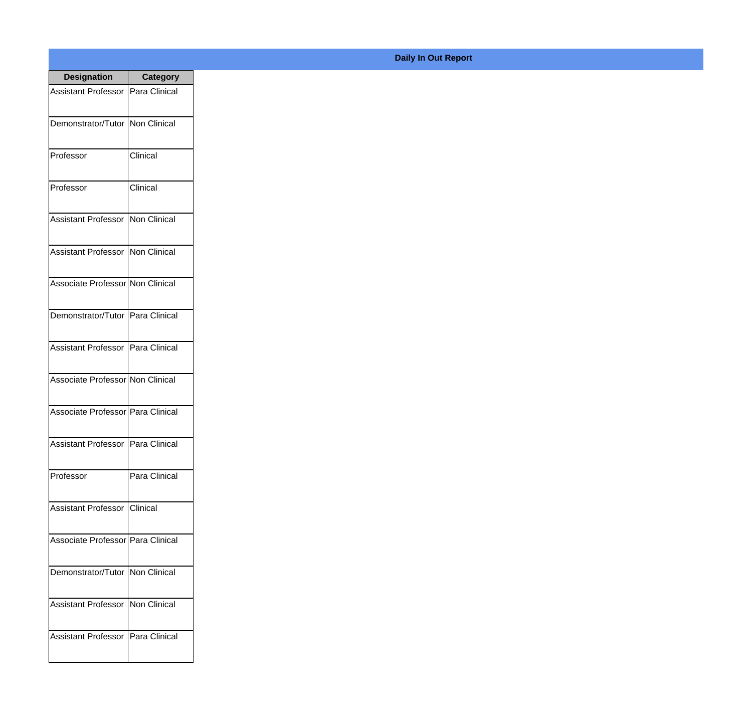| <b>Designation</b>                  | <b>Category</b>     |
|-------------------------------------|---------------------|
| <b>Assistant Professor</b>          | Para Clinical       |
| Demonstrator/Tutor                  | Non Clinical        |
| Professor                           | Clinical            |
| Professor                           | Clinical            |
| <b>Assistant Professor</b>          | <b>Non Clinical</b> |
| <b>Assistant Professor</b>          | <b>Non Clinical</b> |
| Associate Professor Non Clinical    |                     |
| Demonstrator/Tutor   Para Clinical  |                     |
| Assistant Professor   Para Clinical |                     |
| Associate Professor Non Clinical    |                     |
| Associate Professor   Para Clinical |                     |
| Assistant Professor   Para Clinical |                     |
| Professor                           | Para Clinical       |
| <b>Assistant Professor Clinical</b> |                     |
| Associate Professor   Para Clinical |                     |
| Demonstrator/Tutor   Non Clinical   |                     |
| <b>Assistant Professor</b>          | Non Clinical        |
| Assistant Professor   Para Clinical |                     |

## **Daily In Out Report**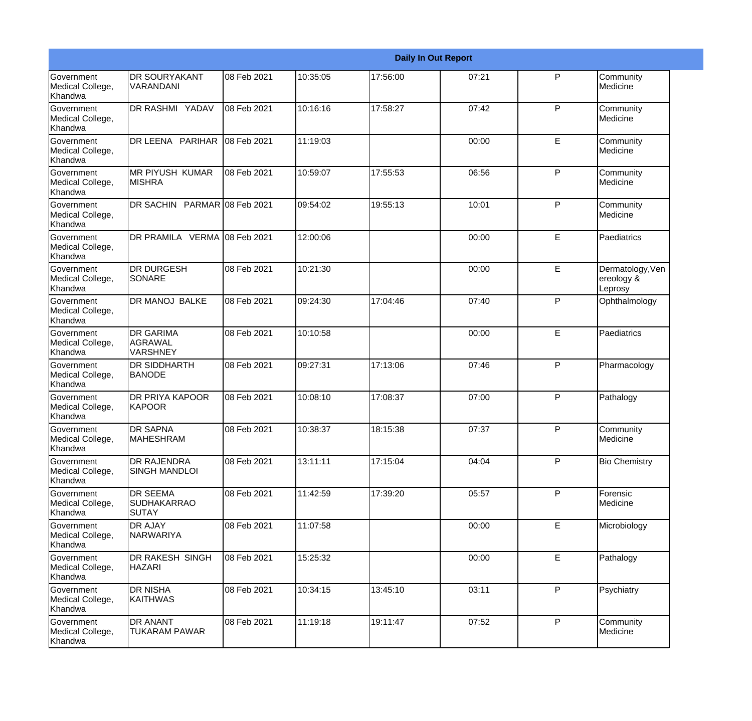|                                                         |                                                       |             |          |          | <b>Daily In Out Report</b> |              |                                           |
|---------------------------------------------------------|-------------------------------------------------------|-------------|----------|----------|----------------------------|--------------|-------------------------------------------|
| Government<br>Medical College,<br>Khandwa               | <b>DR SOURYAKANT</b><br>VARANDANI                     | 08 Feb 2021 | 10:35:05 | 17:56:00 | 07:21                      | P            | Community<br>Medicine                     |
| Government<br>Medical College,<br>Khandwa               | DR RASHMI YADAV                                       | 08 Feb 2021 | 10:16:16 | 17:58:27 | 07:42                      | P            | Community<br>Medicine                     |
| <b>Government</b><br>Medical College,<br>Khandwa        | DR LEENA PARIHAR                                      | 08 Feb 2021 | 11:19:03 |          | 00:00                      | E            | Community<br>Medicine                     |
| <b>Government</b><br>Medical College,<br>Khandwa        | <b>MR PIYUSH KUMAR</b><br><b>MISHRA</b>               | 08 Feb 2021 | 10:59:07 | 17:55:53 | 06:56                      | P            | Community<br>Medicine                     |
| Government<br>Medical College,<br>Khandwa               | DR SACHIN PARMAR 08 Feb 2021                          |             | 09:54:02 | 19:55:13 | 10:01                      | P            | Community<br>Medicine                     |
| <b>Government</b><br>Medical College,<br>Khandwa        | DR PRAMILA VERMA 08 Feb 2021                          |             | 12:00:06 |          | 00:00                      | E            | Paediatrics                               |
| <b>Government</b><br>Medical College,<br>Khandwa        | <b>DR DURGESH</b><br>SONARE                           | 08 Feb 2021 | 10:21:30 |          | 00:00                      | E            | Dermatology, Ven<br>ereology &<br>Leprosy |
| Government<br>Medical College,<br>Khandwa               | DR MANOJ BALKE                                        | 08 Feb 2021 | 09:24:30 | 17:04:46 | 07:40                      | $\mathsf{P}$ | Ophthalmology                             |
| Government<br>Medical College,<br>Khandwa               | <b>DR GARIMA</b><br><b>AGRAWAL</b><br><b>VARSHNEY</b> | 08 Feb 2021 | 10:10:58 |          | 00:00                      | E            | Paediatrics                               |
| <b>Government</b><br>Medical College,<br>Khandwa        | <b>DR SIDDHARTH</b><br><b>BANODE</b>                  | 08 Feb 2021 | 09:27:31 | 17:13:06 | 07:46                      | $\mathsf{P}$ | Pharmacology                              |
| <b>Government</b><br>Medical College,<br><b>Khandwa</b> | <b>DR PRIYA KAPOOR</b><br>KAPOOR                      | 08 Feb 2021 | 10:08:10 | 17:08:37 | 07:00                      | P            | Pathalogy                                 |
| Government<br>Medical College,<br>Khandwa               | <b>DR SAPNA</b><br><b>MAHESHRAM</b>                   | 08 Feb 2021 | 10:38:37 | 18:15:38 | 07:37                      | P            | Community<br>Medicine                     |
| Government<br>Medical College,<br>Khandwa               | <b>DR RAJENDRA</b><br><b>SINGH MANDLOI</b>            | 08 Feb 2021 | 13:11:11 | 17:15:04 | 04:04                      | P            | <b>Bio Chemistry</b>                      |
| Government<br>Medical College,<br>Khandwa               | <b>DR SEEMA</b><br><b>SUDHAKARRAO</b><br><b>SUTAY</b> | 08 Feb 2021 | 11:42:59 | 17:39:20 | 05:57                      | P            | Forensic<br>Medicine                      |
| Government<br>Medical College,<br>Khandwa               | <b>DR AJAY</b><br>NARWARIYA                           | 08 Feb 2021 | 11:07:58 |          | 00:00                      | E            | Microbiology                              |
| Government<br>Medical College,<br>Khandwa               | DR RAKESH SINGH<br><b>HAZARI</b>                      | 08 Feb 2021 | 15:25:32 |          | 00:00                      | E            | Pathalogy                                 |
| Government<br>Medical College,<br>Khandwa               | <b>DR NISHA</b><br><b>KAITHWAS</b>                    | 08 Feb 2021 | 10:34:15 | 13:45:10 | 03:11                      | P            | Psychiatry                                |
| Government<br>Medical College,<br>Khandwa               | <b>DR ANANT</b><br>TUKARAM PAWAR                      | 08 Feb 2021 | 11:19:18 | 19:11:47 | 07:52                      | P            | Community<br>Medicine                     |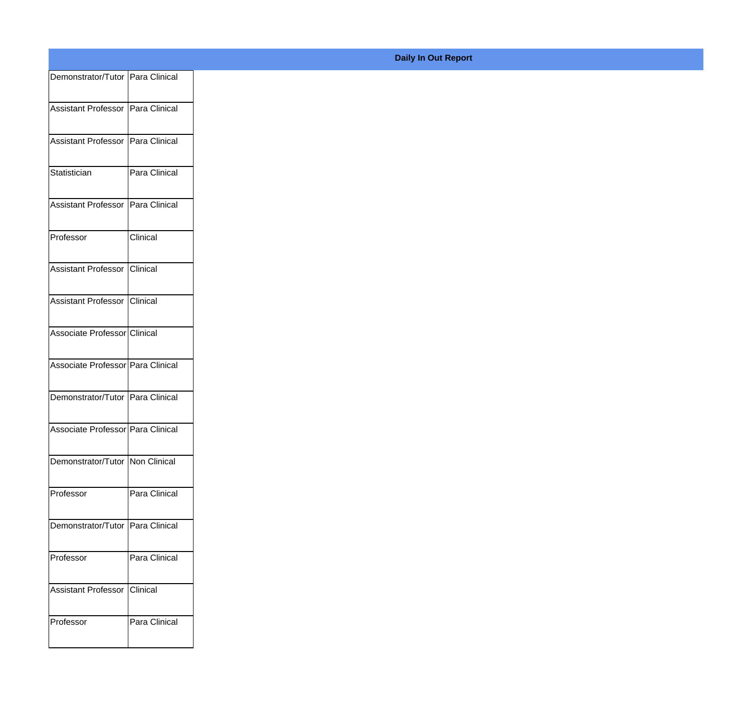| Demonstrator/Tutor Para Clinical  |                 |
|-----------------------------------|-----------------|
| Assistant Professor Para Clinical |                 |
|                                   |                 |
| Assistant Professor Para Clinical |                 |
| Statistician                      | Para Clinical   |
| Assistant Professor Para Clinical |                 |
|                                   |                 |
| Professor                         | <b>Clinical</b> |
| Assistant Professor Clinical      |                 |
| Assistant Professor Clinical      |                 |
| Associate Professor Clinical      |                 |
|                                   |                 |
| Associate Professor Para Clinical |                 |
| Demonstrator/Tutor Para Clinical  |                 |
| Associate Professor Para Clinical |                 |
| Demonstrator/Tutor Non Clinical   |                 |
|                                   |                 |
| Professor                         | Para Clinical   |
| Demonstrator/Tutor Para Clinical  |                 |
| Professor                         | Para Clinical   |
| Assistant Professor Clinical      |                 |
|                                   |                 |
| Professor                         | Para Clinical   |
|                                   |                 |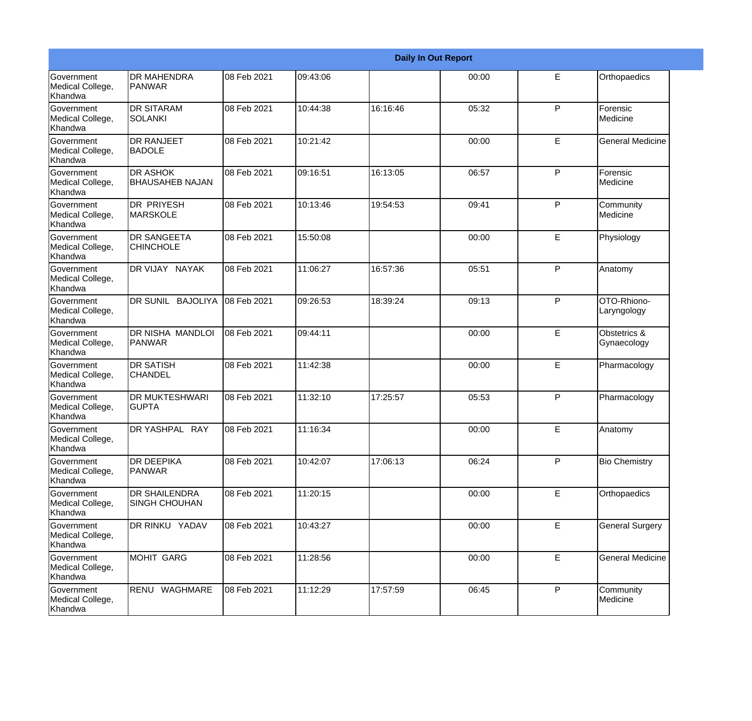|                                                  |                                              |             |          |          | <b>Daily In Out Report</b> |              |                             |
|--------------------------------------------------|----------------------------------------------|-------------|----------|----------|----------------------------|--------------|-----------------------------|
| Government<br>Medical College,<br>Khandwa        | <b>DR MAHENDRA</b><br><b>PANWAR</b>          | 08 Feb 2021 | 09:43:06 |          | 00:00                      | E            | Orthopaedics                |
| Government<br>Medical College,<br>Khandwa        | <b>DR SITARAM</b><br><b>SOLANKI</b>          | 08 Feb 2021 | 10:44:38 | 16:16:46 | 05:32                      | P            | Forensic<br>Medicine        |
| Government<br>Medical College,<br>Khandwa        | <b>DR RANJEET</b><br><b>BADOLE</b>           | 08 Feb 2021 | 10:21:42 |          | 00:00                      | E            | <b>General Medicine</b>     |
| Government<br>Medical College,<br>Khandwa        | <b>DR ASHOK</b><br><b>BHAUSAHEB NAJAN</b>    | 08 Feb 2021 | 09:16:51 | 16:13:05 | 06:57                      | $\mathsf{P}$ | Forensic<br>Medicine        |
| <b>Government</b><br>Medical College,<br>Khandwa | <b>DR PRIYESH</b><br><b>MARSKOLE</b>         | 08 Feb 2021 | 10:13:46 | 19:54:53 | 09:41                      | P            | Community<br>Medicine       |
| Government<br>Medical College,<br>Khandwa        | <b>DR SANGEETA</b><br><b>CHINCHOLE</b>       | 08 Feb 2021 | 15:50:08 |          | 00:00                      | E            | Physiology                  |
| <b>Government</b><br>Medical College,<br>Khandwa | DR VIJAY NAYAK                               | 08 Feb 2021 | 11:06:27 | 16:57:36 | 05:51                      | $\mathsf{P}$ | Anatomy                     |
| Government<br>Medical College,<br>Khandwa        | DR SUNIL BAJOLIYA                            | 08 Feb 2021 | 09:26:53 | 18:39:24 | 09:13                      | $\mathsf{P}$ | OTO-Rhiono-<br>Laryngology  |
| <b>Government</b><br>Medical College,<br>Khandwa | DR NISHA MANDLOI<br><b>PANWAR</b>            | 08 Feb 2021 | 09:44:11 |          | 00:00                      | E            | Obstetrics &<br>Gynaecology |
| Government<br>Medical College,<br>Khandwa        | <b>DR SATISH</b><br><b>CHANDEL</b>           | 08 Feb 2021 | 11:42:38 |          | 00:00                      | E            | Pharmacology                |
| Government<br>Medical College,<br>Khandwa        | <b>DR MUKTESHWARI</b><br><b>GUPTA</b>        | 08 Feb 2021 | 11:32:10 | 17:25:57 | 05:53                      | P            | Pharmacology                |
| Government<br>Medical College,<br>Khandwa        | DR YASHPAL RAY                               | 08 Feb 2021 | 11:16:34 |          | 00:00                      | E            | Anatomy                     |
| Government<br>Medical College,<br>Khandwa        | <b>DR DEEPIKA</b><br><b>PANWAR</b>           | 08 Feb 2021 | 10:42:07 | 17:06:13 | 06:24                      | $\mathsf{P}$ | <b>Bio Chemistry</b>        |
| Government<br>Medical College,<br>Khandwa        | <b>DR SHAILENDRA</b><br><b>SINGH CHOUHAN</b> | 08 Feb 2021 | 11:20:15 |          | 00:00                      | E            | Orthopaedics                |
| Government<br>Medical College,<br>Khandwa        | DR RINKU YADAV                               | 08 Feb 2021 | 10:43:27 |          | 00:00                      | E            | <b>General Surgery</b>      |
| Government<br>Medical College,<br>Khandwa        | <b>MOHIT GARG</b>                            | 08 Feb 2021 | 11:28:56 |          | 00:00                      | E            | <b>General Medicine</b>     |
| Government<br>Medical College,<br>Khandwa        | RENU WAGHMARE                                | 08 Feb 2021 | 11:12:29 | 17:57:59 | 06:45                      | P            | Community<br>Medicine       |